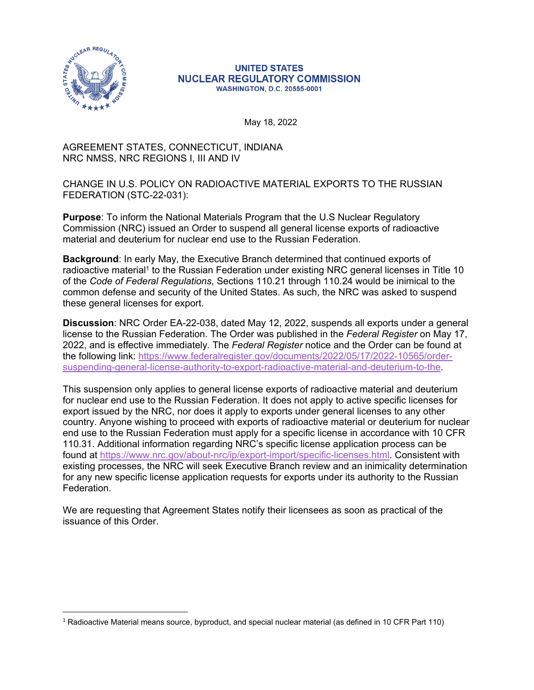

## **UNITED STATES NUCLEAR REGULATORY COMMISSION WASHINGTON, D.C. 20555-0001**

. May 18, 2022

## AGREEMENT STATES, CONNECTICUT, INDIANA NRC NMSS, NRC REGIONS I, III AND IV

CHANGE IN U.S. POLICY ON RADIOACTIVE MATERIAL EXPORTS TO THE RUSSIAN FEDERATION (STC-22-031):

**Purpose**: To inform the National Materials Program that the U.S Nuclear Regulatory Commission (NRC) issued an Order to suspend all general license exports of radioactive material and deuterium for nuclear end use to the Russian Federation.

**Background**: In early May, the Executive Branch determined that continued exports of radioactive material<sup>1</sup> to the Russian Federation under existing NRC general licenses in Title 10 of the *Code of Federal Regulations*, Sections 110.21 through 110.24 would be inimical to the common defense and security of the United States. As such, the NRC was asked to suspend these general licenses for export.

**Discussion**: NRC Order EA-22-038, dated May 12, 2022, suspends all exports under a general license to the Russian Federation. The Order was published in the *Federal Register* on May 17, 2022, and is effective immediately*.* The *Federal Register* notice and the Order can be found at the following link: [https://www.federalregister.gov/documents/2022/05/17/2022-10565/order](https://www.federalregister.gov/public-inspection/2022-10565/order-suspending-general-license-authority-to-export-radioactive-material-and-deuterium-to-the)[suspending-general-license-authority-to-export-radioactive-material-and-deuterium-to-the](https://www.federalregister.gov/public-inspection/2022-10565/order-suspending-general-license-authority-to-export-radioactive-material-and-deuterium-to-the).

This suspension only applies to general license exports of radioactive material and deuterium for nuclear end use to the Russian Federation. It does not apply to active specific licenses for export issued by the NRC, nor does it apply to exports under general licenses to any other country. Anyone wishing to proceed with exports of radioactive material or deuterium for nuclear end use to the Russian Federation must apply for a specific license in accordance with 10 CFR 110.31. Additional information regarding NRC's specific license application process can be found at [https://www.nrc.gov/about-nrc/ip/export-import/specific-licenses.html.](https://www.nrc.gov/about-nrc/ip/export-import/specific-licenses.html) Consistent with existing processes, the NRC will seek Executive Branch review and an inimicality determination for any new specific license application requests for exports under its authority to the Russian **Federation** 

We are requesting that Agreement States notify their licensees as soon as practical of the issuance of this Order.

<sup>1</sup> Radioactive Material means source, byproduct, and special nuclear material (as defined in 10 CFR Part 110)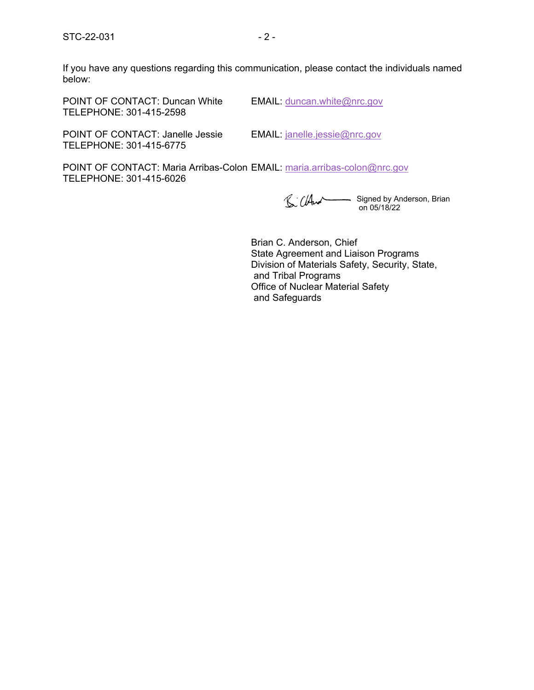If you have any questions regarding this communication, please contact the individuals named below:

POINT OF CONTACT: Duncan White EMAIL: [duncan.white@nrc.gov](mailto:duncan.white@nrc.gov) TELEPHONE: 301-415-2598

POINT OF CONTACT: Janelle Jessie EMAIL: [janelle.jessie@nrc.gov](mailto:janelle.jessie@nrc.gov) TELEPHONE: 301-415-6775

POINT OF CONTACT: Maria Arribas-Colon EMAIL: [maria.arribas-colon@nrc.gov](mailto:maria.arribas-colon@nrc.gov) TELEPHONE: 301-415-6026

Signed by Anderson, Brian on 05/18/22

Brian C. Anderson, Chief State Agreement and Liaison Programs Division of Materials Safety, Security, State, and Tribal Programs Office of Nuclear Material Safety and Safeguards